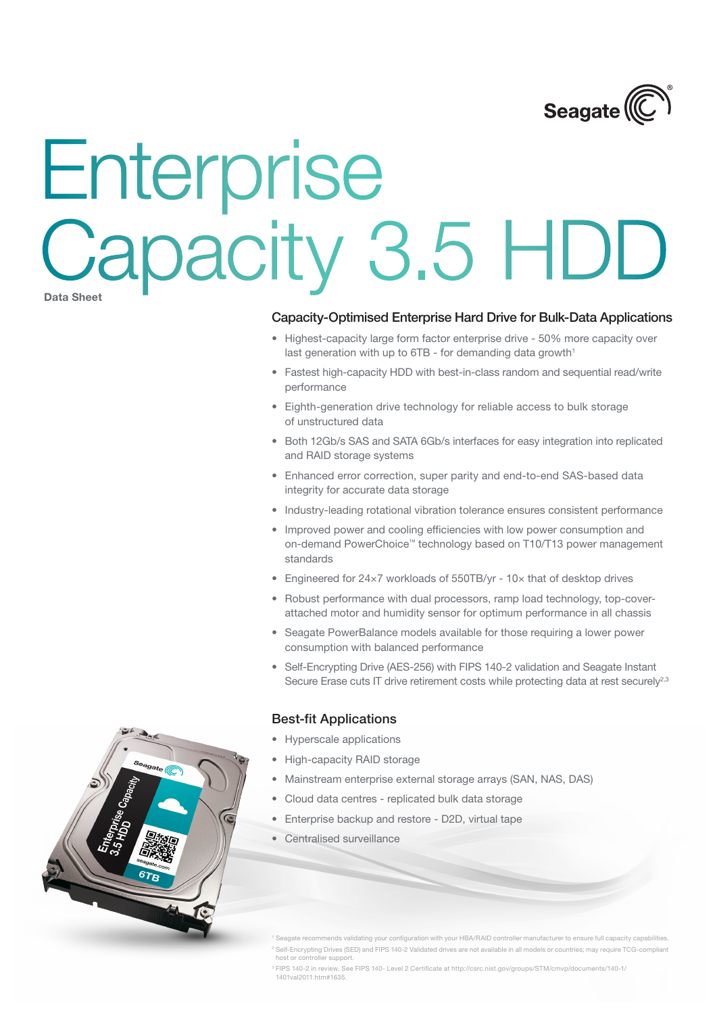

# Enterprise Capacity 3.5 HDD

**Data Sheet**

### Capacity-Optimised Enterprise Hard Drive for Bulk-Data Applications

- Highest-capacity large form factor enterprise drive 50% more capacity over last generation with up to  $6TB$  - for demanding data growth<sup>1</sup>
- Fastest high-capacity HDD with best-in-class random and sequential read/write performance
- Eighth-generation drive technology for reliable access to bulk storage of unstructured data
- Both 12Gb/s SAS and SATA 6Gb/s interfaces for easy integration into replicated and RAID storage systems
- Enhanced error correction, super parity and end-to-end SAS-based data integrity for accurate data storage
- Industry-leading rotational vibration tolerance ensures consistent performance
- Improved power and cooling efficiencies with low power consumption and on-demand PowerChoice™ technology based on T10/T13 power management standards
- Engineered for 24×7 workloads of 550TB/yr 10× that of desktop drives
- Robust performance with dual processors, ramp load technology, top-coverattached motor and humidity sensor for optimum performance in all chassis
- Seagate PowerBalance models available for those requiring a lower power consumption with balanced performance
- Self-Encrypting Drive (AES-256) with FIPS 140-2 validation and Seagate Instant Secure Erase cuts IT drive retirement costs while protecting data at rest securely<sup>2,3</sup>

### Best-fit Applications

- • Hyperscale applications
- High-capacity RAID storage
- Mainstream enterprise external storage arrays (SAN, NAS, DAS)
- Cloud data centres replicated bulk data storage
- Enterprise backup and restore D2D, virtual tape
- Centralised surveillance



<sup>3</sup> FIPS 140-2 in review. See FIPS 140- Level 2 Certificate at http://csrc.nist.gov/groups/STM/cmvp/documents/140-1/ 1401val2011.htm#1635.

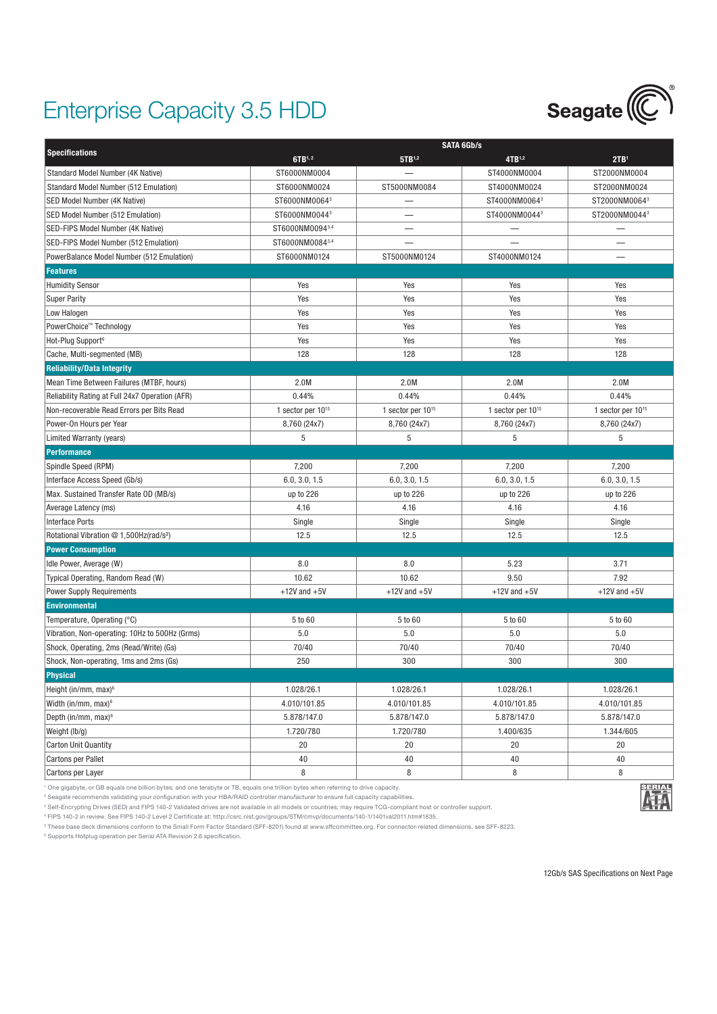## Enterprise Capacity 3.5 HDD



|                                                     |                        |                        | <b>SATA 6Gb/s</b>      |                        |  |  |
|-----------------------------------------------------|------------------------|------------------------|------------------------|------------------------|--|--|
| <b>Specifications</b>                               | 6TB1,2                 | 5TB1,2                 | 4TB1,2                 | 2TB <sup>1</sup>       |  |  |
| Standard Model Number (4K Native)                   | ST6000NM0004           |                        | ST4000NM0004           | ST2000NM0004           |  |  |
| Standard Model Number (512 Emulation)               | ST6000NM0024           | ST5000NM0084           | ST4000NM0024           | ST2000NM0024           |  |  |
| SED Model Number (4K Native)                        | ST6000NM00643          |                        | ST4000NM00643          | ST2000NM00643          |  |  |
| SED Model Number (512 Emulation)                    | ST6000NM00443          |                        | ST4000NM00443          | ST2000NM00443          |  |  |
| SED-FIPS Model Number (4K Native)                   | ST6000NM00943,4        |                        |                        |                        |  |  |
| SED-FIPS Model Number (512 Emulation)               | ST6000NM00843,4        |                        |                        |                        |  |  |
| PowerBalance Model Number (512 Emulation)           | ST6000NM0124           | ST5000NM0124           | ST4000NM0124           |                        |  |  |
| <b>Features</b>                                     |                        |                        |                        |                        |  |  |
| <b>Humidity Sensor</b>                              | Yes                    | Yes                    | Yes                    | Yes                    |  |  |
| <b>Super Parity</b>                                 | Yes                    | Yes                    | Yes                    | Yes                    |  |  |
| Low Halogen                                         | Yes                    | Yes                    | Yes                    | Yes                    |  |  |
| PowerChoice™ Technology                             | Yes                    | Yes                    | Yes                    | Yes                    |  |  |
| Hot-Plug Support <sup>6</sup>                       | Yes                    | Yes                    | Yes                    | Yes                    |  |  |
| Cache, Multi-segmented (MB)                         | 128                    | 128                    | 128                    | 128                    |  |  |
| <b>Reliability/Data Integrity</b>                   |                        |                        |                        |                        |  |  |
| Mean Time Between Failures (MTBF, hours)            | 2.0M                   | 2.0M                   | 2.0M                   | 2.0M                   |  |  |
| Reliability Rating at Full 24x7 Operation (AFR)     | 0.44%                  | 0.44%                  | 0.44%                  | 0.44%                  |  |  |
| Non-recoverable Read Errors per Bits Read           | 1 sector per $10^{15}$ | 1 sector per $10^{15}$ | 1 sector per $10^{15}$ | 1 sector per $10^{15}$ |  |  |
| Power-On Hours per Year                             | 8,760 (24x7)           | 8,760 (24x7)           | 8,760 (24x7)           | 8,760 (24x7)           |  |  |
| Limited Warranty (years)                            | 5                      | 5                      | 5                      | 5                      |  |  |
| <b>Performance</b>                                  |                        |                        |                        |                        |  |  |
| Spindle Speed (RPM)                                 | 7,200                  | 7,200                  | 7,200                  | 7,200                  |  |  |
| Interface Access Speed (Gb/s)                       | 6.0, 3.0, 1.5          | 6.0, 3.0, 1.5          | 6.0, 3.0, 1.5          | 6.0, 3.0, 1.5          |  |  |
| Max. Sustained Transfer Rate OD (MB/s)              | up to 226              | up to 226              | up to 226              | up to 226              |  |  |
| Average Latency (ms)                                | 4.16                   | 4.16                   | 4.16                   | 4.16                   |  |  |
| <b>Interface Ports</b>                              | Single                 | Single                 | Single                 | Single                 |  |  |
| Rotational Vibration @ 1,500Hz(rad/s <sup>2</sup> ) | 12.5                   | 12.5                   | 12.5                   | 12.5                   |  |  |
| <b>Power Consumption</b>                            |                        |                        |                        |                        |  |  |
| Idle Power, Average (W)                             | 8.0                    | 8.0                    | 5.23                   | 3.71                   |  |  |
| Typical Operating, Random Read (W)                  | 10.62                  | 10.62                  | 9.50                   | 7.92                   |  |  |
| <b>Power Supply Requirements</b>                    | $+12V$ and $+5V$       | $+12V$ and $+5V$       | $+12V$ and $+5V$       | $+12V$ and $+5V$       |  |  |
| <b>Environmental</b>                                |                        |                        |                        |                        |  |  |
| Temperature, Operating (°C)                         | 5 to 60                | 5 to 60                | 5 to 60                | 5 to 60                |  |  |
| Vibration, Non-operating: 10Hz to 500Hz (Grms)      | 5.0                    | 5.0                    | 5.0                    | 5.0                    |  |  |
| Shock, Operating, 2ms (Read/Write) (Gs)             | 70/40                  | 70/40                  | 70/40                  | 70/40                  |  |  |
| Shock, Non-operating, 1ms and 2ms (Gs)              | 250                    | 300                    | 300                    | 300                    |  |  |
| <b>Physical</b>                                     |                        |                        |                        |                        |  |  |
| Height (in/mm, max) <sup>6</sup>                    | 1.028/26.1             | 1.028/26.1             | 1.028/26.1             | 1.028/26.1             |  |  |
| Width (in/mm, max) <sup>6</sup>                     | 4.010/101.85           | 4.010/101.85           | 4.010/101.85           | 4.010/101.85           |  |  |
| Depth (in/mm, max) <sup>6</sup>                     | 5.878/147.0            | 5.878/147.0            | 5.878/147.0            | 5.878/147.0            |  |  |
| Weight (lb/g)                                       | 1.720/780              | 1.720/780              | 1.400/635              | 1.344/605              |  |  |
| <b>Carton Unit Quantity</b>                         | 20                     | 20                     | 20                     | 20                     |  |  |
| <b>Cartons per Pallet</b>                           | 40                     | 40                     | 40                     | 40                     |  |  |
| Cartons per Layer                                   | 8                      | 8                      | 8                      | 8                      |  |  |

1 One gigabyte, or GB equals one billion bytes; and one terabyte or TB, equals one trillion bytes when referring to drive capacity.

2 Seagate recommends validating your configuration with your HBA/RAID controller manufacturer to ensure full capacity capabilities.

<sup>3</sup> Self-Encrypting Drives (SED) and FIPS 140-2 Validated drives are not available in all models or countries; may require TCG-compliant host or controller support.

4 FIPS 140-2 in review. See FIPS 140-2 Level 2 Certificate at: http://csrc.nist.gov/groups/STM/cmvp/documents/140-1/1401val2011.htm#1635.

5 These base deck dimensions conform to the Small Form Factor Standard (SFF-8201) found at www.sffcommittee.org. For connector-related dimensions, see SFF-8223.

6 Supports Hotplug operation per Serial ATA Revision 2.6 specification.

12Gb/s SAS Specifications on Next Page